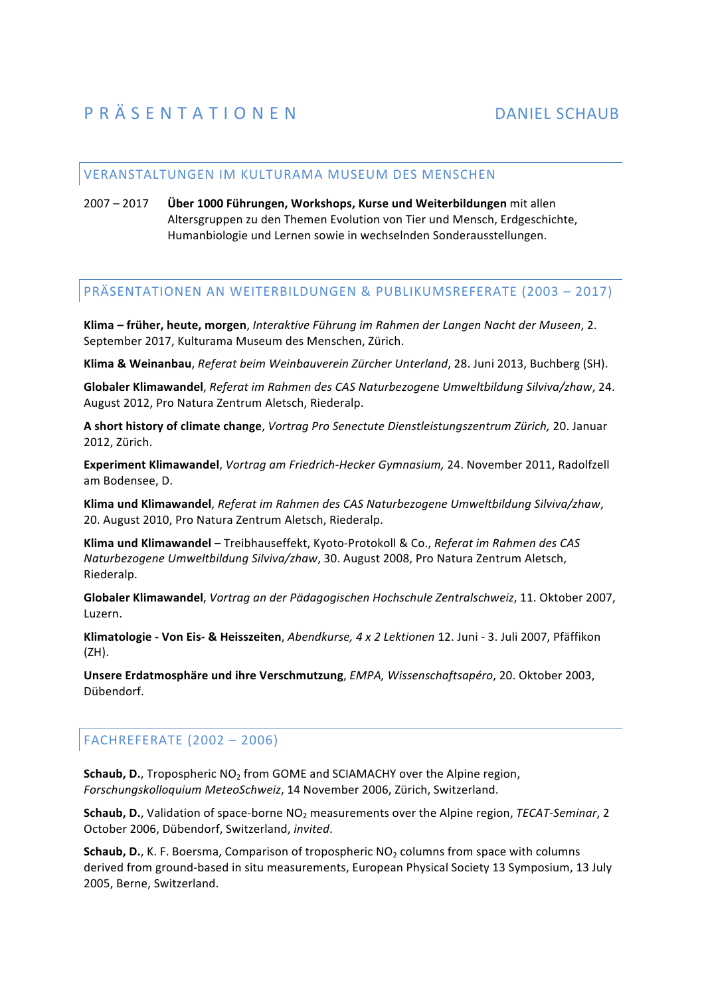## VERANSTALTUNGEN IM KULTURAMA MUSEUM DES MENSCHEN

2007 - 2017 **Über 1000 Führungen, Workshops, Kurse und Weiterbildungen** mit allen Altersgruppen zu den Themen Evolution von Tier und Mensch, Erdgeschichte, Humanbiologie und Lernen sowie in wechselnden Sonderausstellungen.

## PRÄSENTATIONEN AN WEITERBILDUNGEN & PUBLIKUMSREFERATE (2003 – 2017)

**Klima** – früher, heute, morgen, *Interaktive Führung im Rahmen der Langen Nacht der Museen, 2.* September 2017, Kulturama Museum des Menschen, Zürich.

Klima & Weinanbau, Referat beim Weinbauverein Zürcher Unterland, 28. Juni 2013, Buchberg (SH).

Globaler Klimawandel, Referat im Rahmen des CAS Naturbezogene Umweltbildung Silviva/zhaw, 24. August 2012, Pro Natura Zentrum Aletsch, Riederalp.

**A short history of climate change**, *Vortrag Pro Senectute Dienstleistungszentrum Zürich,* 20. Januar 2012, Zürich.

**Experiment Klimawandel**, *Vortrag am Friedrich-Hecker Gymnasium,* 24. November 2011, Radolfzell am Bodensee, D.

**Klima und Klimawandel**, *Referat im Rahmen des CAS Naturbezogene Umweltbildung Silviva/zhaw*, 20. August 2010, Pro Natura Zentrum Aletsch, Riederalp.

Klima und Klimawandel – Treibhauseffekt, Kyoto-Protokoll & Co., Referat im Rahmen des CAS *Naturbezogene Umweltbildung Silviva/zhaw, 30. August 2008, Pro Natura Zentrum Aletsch,* Riederalp.

**Globaler Klimawandel**, *Vortrag an der Pädagogischen Hochschule Zentralschweiz*, 11. Oktober 2007, Luzern.

**Klimatologie - Von Eis- & Heisszeiten**, *Abendkurse, 4 x 2 Lektionen* 12. Juni - 3. Juli 2007, Pfäffikon (ZH).

**Unsere Erdatmosphäre und ihre Verschmutzung**, *EMPA, Wissenschaftsapéro*, 20. Oktober 2003, Dübendorf.

## FACHREFERATE (2002 - 2006)

**Schaub, D.**, Tropospheric NO<sub>2</sub> from GOME and SCIAMACHY over the Alpine region, *Forschungskolloquium MeteoSchweiz*, 14 November 2006, Zürich, Switzerland.

**Schaub, D.**, Validation of space-borne NO<sub>2</sub> measurements over the Alpine region, *TECAT-Seminar*, 2 October 2006, Dübendorf, Switzerland, invited.

**Schaub, D.**, K. F. Boersma, Comparison of tropospheric NO<sub>2</sub> columns from space with columns derived from ground-based in situ measurements, European Physical Society 13 Symposium, 13 July 2005, Berne, Switzerland.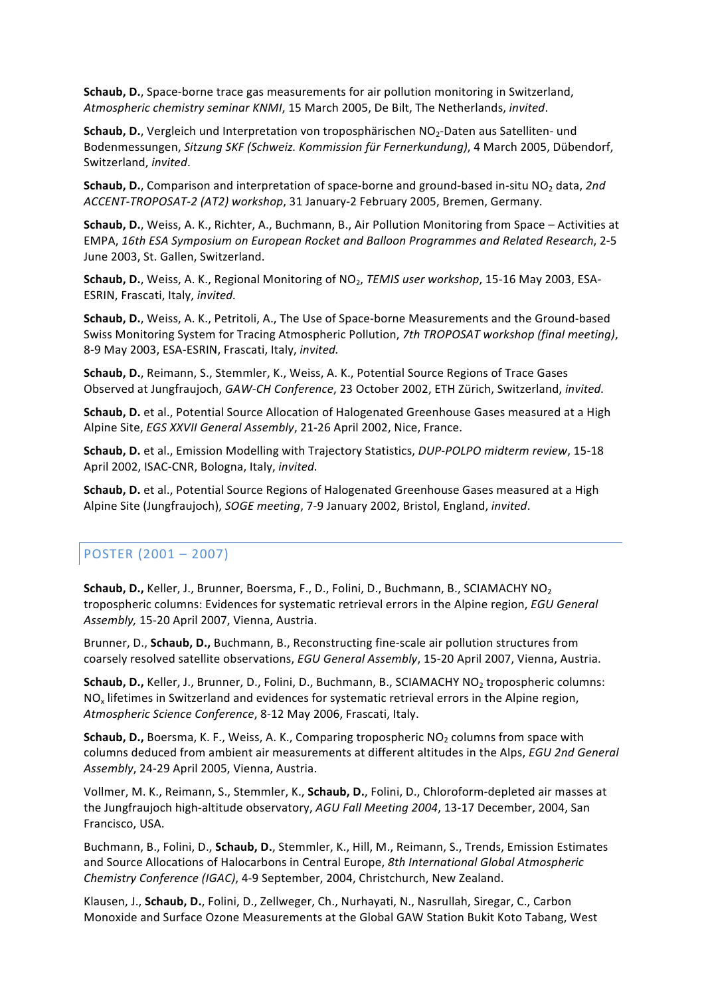**Schaub, D.**, Space-borne trace gas measurements for air pollution monitoring in Switzerland, *Atmospheric chemistry seminar KNMI*, 15 March 2005, De Bilt, The Netherlands, *invited*.

**Schaub, D.**, Vergleich und Interpretation von troposphärischen NO<sub>2</sub>-Daten aus Satelliten- und Bodenmessungen, *Sitzung SKF (Schweiz. Kommission für Fernerkundung)*, 4 March 2005, Dübendorf, Switzerland, *invited*.

**Schaub, D.**, Comparison and interpretation of space-borne and ground-based in-situ NO<sub>2</sub> data, 2nd *ACCENT-TROPOSAT-2 (AT2) workshop*, 31 January-2 February 2005, Bremen, Germany.

Schaub, D., Weiss, A. K., Richter, A., Buchmann, B., Air Pollution Monitoring from Space - Activities at EMPA, 16th ESA Symposium on European Rocket and Balloon Programmes and Related Research, 2-5 June 2003, St. Gallen, Switzerland.

**Schaub, D.**, Weiss, A. K., Regional Monitoring of NO<sub>2</sub>, *TEMIS user workshop*, 15-16 May 2003, ESA-ESRIN, Frascati, Italy, *invited.* 

**Schaub, D.**, Weiss, A. K., Petritoli, A., The Use of Space-borne Measurements and the Ground-based Swiss Monitoring System for Tracing Atmospheric Pollution, 7th TROPOSAT workshop (final meeting), 8-9 May 2003, ESA-ESRIN, Frascati, Italy, *invited.* 

Schaub, D., Reimann, S., Stemmler, K., Weiss, A. K., Potential Source Regions of Trace Gases Observed at Jungfraujoch, GAW-CH Conference, 23 October 2002, ETH Zürich, Switzerland, invited.

**Schaub, D.** et al., Potential Source Allocation of Halogenated Greenhouse Gases measured at a High Alpine Site, *EGS XXVII General Assembly*, 21-26 April 2002, Nice, France.

**Schaub, D.** et al., Emission Modelling with Trajectory Statistics, *DUP-POLPO midterm review*, 15-18 April 2002, ISAC-CNR, Bologna, Italy, *invited.* 

**Schaub, D.** et al., Potential Source Regions of Halogenated Greenhouse Gases measured at a High Alpine Site (Jungfraujoch), *SOGE meeting*, 7-9 January 2002, Bristol, England, *invited*.

## POSTER  $(2001 - 2007)$

**Schaub, D.,** Keller, J., Brunner, Boersma, F., D., Folini, D., Buchmann, B., SCIAMACHY NO<sub>2</sub> tropospheric columns: Evidences for systematic retrieval errors in the Alpine region, *EGU General* Assembly, 15-20 April 2007, Vienna, Austria.

Brunner, D., **Schaub, D.,** Buchmann, B., Reconstructing fine-scale air pollution structures from coarsely resolved satellite observations, *EGU General Assembly*, 15-20 April 2007, Vienna, Austria.

**Schaub, D.,** Keller, J., Brunner, D., Folini, D., Buchmann, B., SCIAMACHY NO<sub>2</sub> tropospheric columns: NO<sub>x</sub> lifetimes in Switzerland and evidences for systematic retrieval errors in the Alpine region, Atmospheric Science Conference, 8-12 May 2006, Frascati, Italy.

**Schaub, D.,** Boersma, K. F., Weiss, A. K., Comparing tropospheric NO<sub>2</sub> columns from space with columns deduced from ambient air measurements at different altitudes in the Alps, *EGU 2nd General* Assembly, 24-29 April 2005, Vienna, Austria.

Vollmer, M. K., Reimann, S., Stemmler, K., Schaub, D., Folini, D., Chloroform-depleted air masses at the Jungfraujoch high-altitude observatory, *AGU Fall Meeting 2004*, 13-17 December, 2004, San Francisco, USA.

Buchmann, B., Folini, D., Schaub, D., Stemmler, K., Hill, M., Reimann, S., Trends, Emission Estimates and Source Allocations of Halocarbons in Central Europe, 8th International Global Atmospheric *Chemistry Conference (IGAC)*, 4-9 September, 2004, Christchurch, New Zealand.

Klausen, J., Schaub, D., Folini, D., Zellweger, Ch., Nurhayati, N., Nasrullah, Siregar, C., Carbon Monoxide and Surface Ozone Measurements at the Global GAW Station Bukit Koto Tabang, West